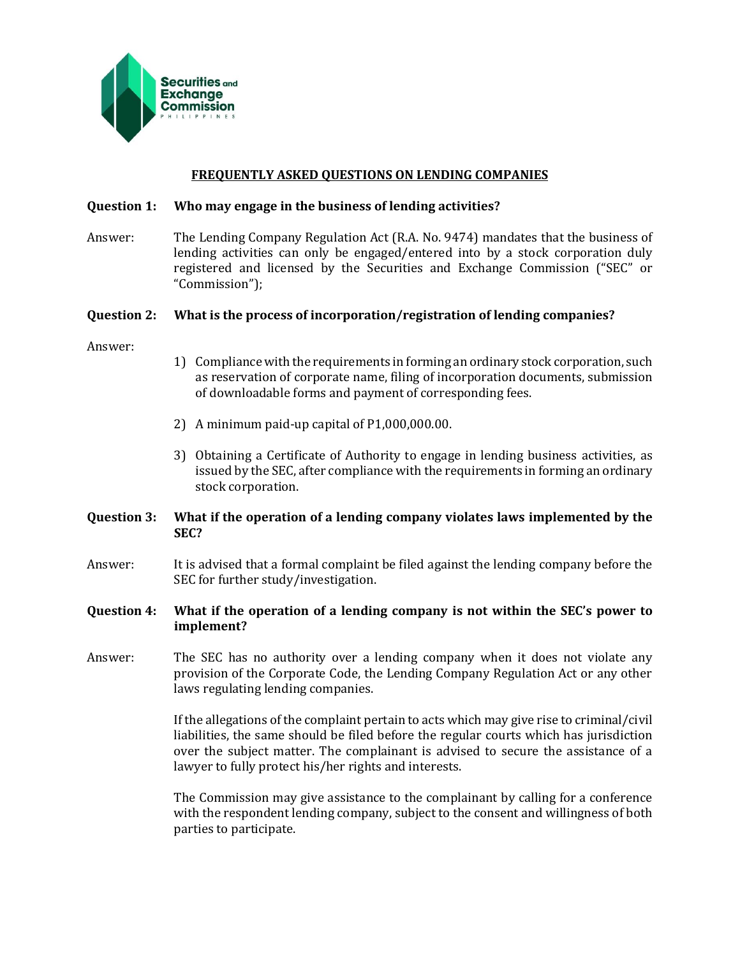

#### **FREQUENTLY ASKED QUESTIONS ON LENDING COMPANIES**

#### **Question 1: Who may engage in the business of lending activities?**

Answer: The Lending Company Regulation Act (R.A. No. 9474) mandates that the business of lending activities can only be engaged/entered into by a stock corporation duly registered and licensed by the Securities and Exchange Commission ("SEC" or "Commission");

## **Question 2: What is the process of incorporation/registration of lending companies?**

Answer:

- 1) Compliance with the requirements in forming an ordinary stock corporation, such as reservation of corporate name, filing of incorporation documents, submission of downloadable forms and payment of corresponding fees.
- 2) A minimum paid-up capital of P1,000,000.00.
- 3) Obtaining a Certificate of Authority to engage in lending business activities, as issued by the SEC, after compliance with the requirements in forming an ordinary stock corporation.

# **Question 3: What if the operation of a lending company violates laws implemented by the SEC?**

Answer: It is advised that a formal complaint be filed against the lending company before the SEC for further study/investigation.

## **Question 4: What if the operation of a lending company is not within the SEC's power to implement?**

Answer: The SEC has no authority over a lending company when it does not violate any provision of the Corporate Code, the Lending Company Regulation Act or any other laws regulating lending companies.

> If the allegations of the complaint pertain to acts which may give rise to criminal/civil liabilities, the same should be filed before the regular courts which has jurisdiction over the subject matter. The complainant is advised to secure the assistance of a lawyer to fully protect his/her rights and interests.

> The Commission may give assistance to the complainant by calling for a conference with the respondent lending company, subject to the consent and willingness of both parties to participate.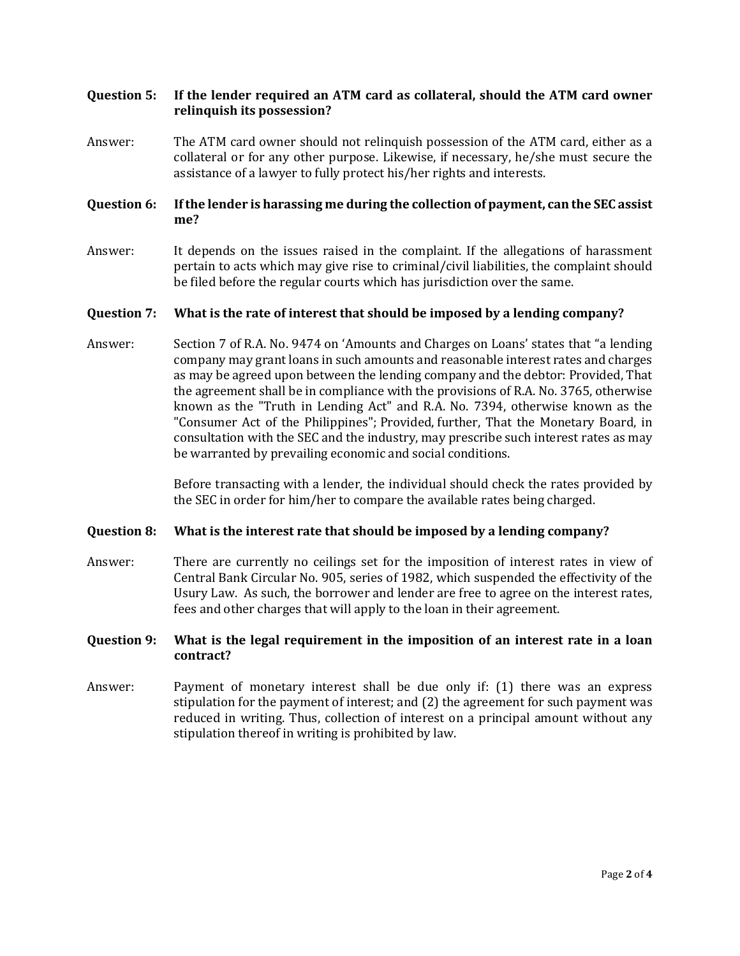## **Question 5: If the lender required an ATM card as collateral, should the ATM card owner relinquish its possession?**

Answer: The ATM card owner should not relinquish possession of the ATM card, either as a collateral or for any other purpose. Likewise, if necessary, he/she must secure the assistance of a lawyer to fully protect his/her rights and interests.

## **Question 6: If the lender is harassing me during the collection of payment, can the SEC assist me?**

Answer: It depends on the issues raised in the complaint. If the allegations of harassment pertain to acts which may give rise to criminal/civil liabilities, the complaint should be filed before the regular courts which has jurisdiction over the same.

#### **Question 7: What is the rate of interest that should be imposed by a lending company?**

Answer: Section 7 of R.A. No. 9474 on 'Amounts and Charges on Loans' states that "a lending company may grant loans in such amounts and reasonable interest rates and charges as may be agreed upon between the lending company and the debtor: Provided, That the agreement shall be in compliance with the provisions of R.A. No. 3765, otherwise known as the "Truth in Lending Act" and R.A. No. 7394, otherwise known as the "Consumer Act of the Philippines"; Provided, further, That the Monetary Board, in consultation with the SEC and the industry, may prescribe such interest rates as may be warranted by prevailing economic and social conditions.

> Before transacting with a lender, the individual should check the rates provided by the SEC in order for him/her to compare the available rates being charged.

#### **Question 8: What is the interest rate that should be imposed by a lending company?**

Answer: There are currently no ceilings set for the imposition of interest rates in view of Central Bank Circular No. 905, series of 1982, which suspended the effectivity of the Usury Law. As such, the borrower and lender are free to agree on the interest rates, fees and other charges that will apply to the loan in their agreement.

## **Question 9: What is the legal requirement in the imposition of an interest rate in a loan contract?**

Answer: Payment of monetary interest shall be due only if: (1) there was an express stipulation for the payment of interest; and (2) the agreement for such payment was reduced in writing. Thus, collection of interest on a principal amount without any stipulation thereof in writing is prohibited by law.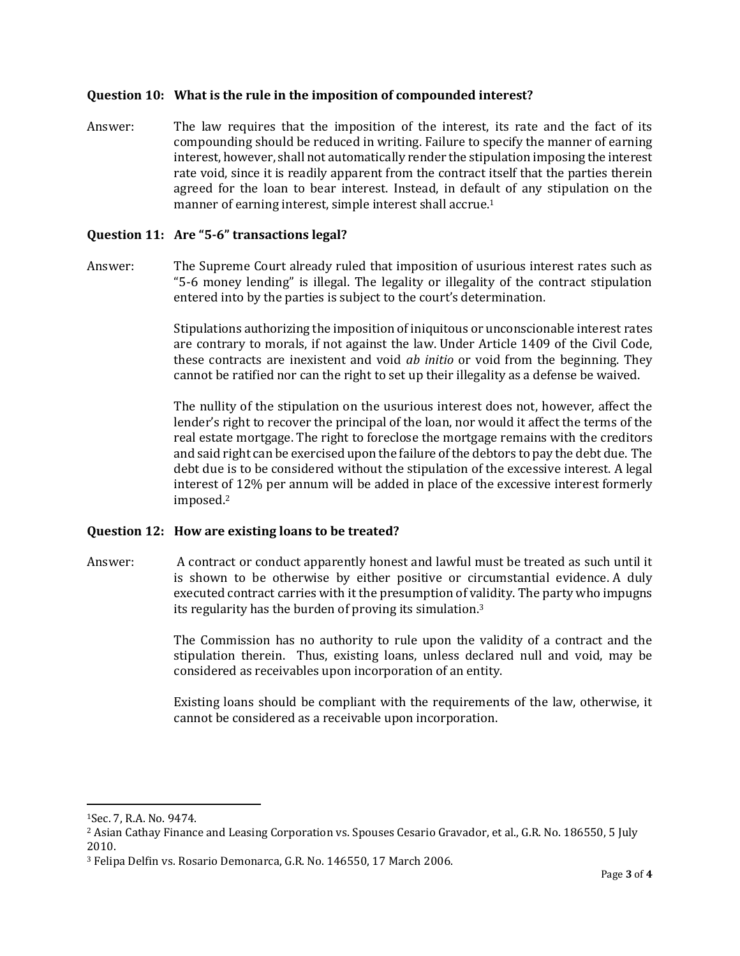## **Question 10: What is the rule in the imposition of compounded interest?**

Answer: The law requires that the imposition of the interest, its rate and the fact of its compounding should be reduced in writing. Failure to specify the manner of earning interest, however, shall not automatically render the stipulation imposing the interest rate void, since it is readily apparent from the contract itself that the parties therein agreed for the loan to bear interest. Instead, in default of any stipulation on the manner of earning interest, simple interest shall accrue.<sup>1</sup>

#### **Question 11: Are "5-6" transactions legal?**

Answer: The Supreme Court already ruled that imposition of usurious interest rates such as "5-6 money lending" is illegal. The legality or illegality of the contract stipulation entered into by the parties is subject to the court's determination.

> Stipulations authorizing the imposition of iniquitous or unconscionable interest rates are contrary to morals, if not against the law. Under Article 1409 of the Civil Code, these contracts are inexistent and void *ab initio* or void from the beginning. They cannot be ratified nor can the right to set up their illegality as a defense be waived.

> The nullity of the stipulation on the usurious interest does not, however, affect the lender's right to recover the principal of the loan, nor would it affect the terms of the real estate mortgage. The right to foreclose the mortgage remains with the creditors and said right can be exercised upon the failure of the debtors to pay the debt due. The debt due is to be considered without the stipulation of the excessive interest. A legal interest of 12% per annum will be added in place of the excessive interest formerly imposed.<sup>2</sup>

## **Question 12: How are existing loans to be treated?**

Answer: A contract or conduct apparently honest and lawful must be treated as such until it is shown to be otherwise by either positive or circumstantial evidence. A duly executed contract carries with it the presumption of validity. The party who impugns its regularity has the burden of proving its simulation.<sup>3</sup>

> The Commission has no authority to rule upon the validity of a contract and the stipulation therein. Thus, existing loans, unless declared null and void, may be considered as receivables upon incorporation of an entity.

> Existing loans should be compliant with the requirements of the law, otherwise, it cannot be considered as a receivable upon incorporation.

 $\overline{\phantom{a}}$ 

<sup>1</sup>Sec. 7, R.A. No. 9474.

<sup>2</sup> Asian Cathay Finance and Leasing Corporation vs. Spouses Cesario Gravador, et al., G.R. No. 186550, 5 July 2010.

<sup>3</sup> Felipa Delfin vs. Rosario Demonarca, G.R. No. 146550, 17 March 2006.